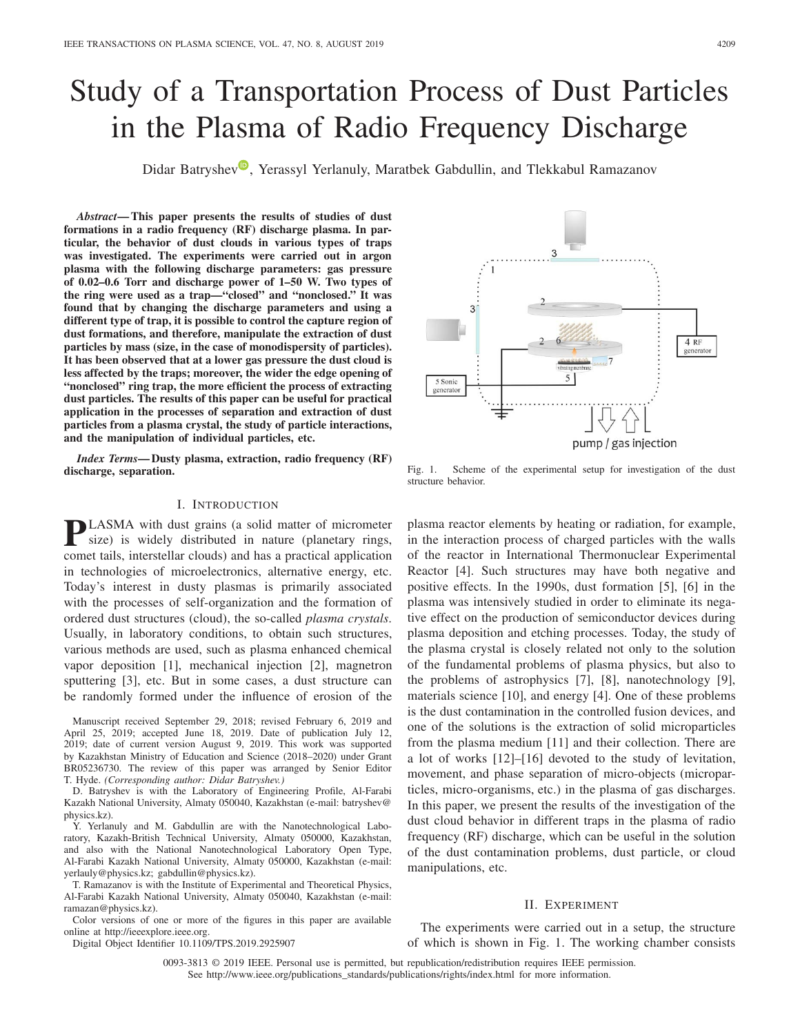# Study of a Transportation Process of Dust Particles in the Plasma of Radio Frequency Discharge

Didar Batryshe[v](https://orcid.org/0000-0002-9847-1067)<sup>®</sup>, Yerassyl Yerlanuly, Maratbek Gabdullin, and Tlekkabul Ramazanov

*Abstract***— This paper presents the results of studies of dust formations in a radio frequency (RF) discharge plasma. In particular, the behavior of dust clouds in various types of traps was investigated. The experiments were carried out in argon plasma with the following discharge parameters: gas pressure of 0.02–0.6 Torr and discharge power of 1–50 W. Two types of the ring were used as a trap—"closed" and "nonclosed." It was found that by changing the discharge parameters and using a different type of trap, it is possible to control the capture region of dust formations, and therefore, manipulate the extraction of dust particles by mass (size, in the case of monodispersity of particles). It has been observed that at a lower gas pressure the dust cloud is less affected by the traps; moreover, the wider the edge opening of "nonclosed" ring trap, the more efficient the process of extracting dust particles. The results of this paper can be useful for practical application in the processes of separation and extraction of dust particles from a plasma crystal, the study of particle interactions, and the manipulation of individual particles, etc.**

*Index Terms***— Dusty plasma, extraction, radio frequency (RF) discharge, separation.**

## I. INTRODUCTION

**PLASMA** with dust grains (a solid matter of micrometer size) is widely distributed in nature (planetary rings, comet tails, interstellar clouds) and has a practical application in technologies of microelectronics, alternative energy, etc. Today's interest in dusty plasmas is primarily associated with the processes of self-organization and the formation of ordered dust structures (cloud), the so-called *plasma crystals*. Usually, in laboratory conditions, to obtain such structures, various methods are used, such as plasma enhanced chemical vapor deposition [1], mechanical injection [2], magnetron sputtering [3], etc. But in some cases, a dust structure can be randomly formed under the influence of erosion of the

Manuscript received September 29, 2018; revised February 6, 2019 and April 25, 2019; accepted June 18, 2019. Date of publication July 12, 2019; date of current version August 9, 2019. This work was supported by Kazakhstan Ministry of Education and Science (2018–2020) under Grant BR05236730. The review of this paper was arranged by Senior Editor T. Hyde. *(Corresponding author: Didar Batryshev.)*

D. Batryshev is with the Laboratory of Engineering Profile, Al-Farabi Kazakh National University, Almaty 050040, Kazakhstan (e-mail: batryshev@ physics.kz).

Y. Yerlanuly and M. Gabdullin are with the Nanotechnological Laboratory, Kazakh-British Technical University, Almaty 050000, Kazakhstan, and also with the National Nanotechnological Laboratory Open Type, Al-Farabi Kazakh National University, Almaty 050000, Kazakhstan (e-mail: yerlauly@physics.kz; gabdullin@physics.kz).

T. Ramazanov is with the Institute of Experimental and Theoretical Physics, Al-Farabi Kazakh National University, Almaty 050040, Kazakhstan (e-mail: ramazan@physics.kz).

Color versions of one or more of the figures in this paper are available online at http://ieeexplore.ieee.org.

Digital Object Identifier 10.1109/TPS.2019.2925907

 $\overline{3}$ 4 RF generator 5 Sonic generator pump / gas injection

3

 $\overline{1}$ 

Fig. 1. Scheme of the experimental setup for investigation of the dust structure behavior.

plasma reactor elements by heating or radiation, for example, in the interaction process of charged particles with the walls of the reactor in International Thermonuclear Experimental Reactor [4]. Such structures may have both negative and positive effects. In the 1990s, dust formation [5], [6] in the plasma was intensively studied in order to eliminate its negative effect on the production of semiconductor devices during plasma deposition and etching processes. Today, the study of the plasma crystal is closely related not only to the solution of the fundamental problems of plasma physics, but also to the problems of astrophysics [7], [8], nanotechnology [9], materials science [10], and energy [4]. One of these problems is the dust contamination in the controlled fusion devices, and one of the solutions is the extraction of solid microparticles from the plasma medium [11] and their collection. There are a lot of works [12]–[16] devoted to the study of levitation, movement, and phase separation of micro-objects (microparticles, micro-organisms, etc.) in the plasma of gas discharges. In this paper, we present the results of the investigation of the dust cloud behavior in different traps in the plasma of radio frequency (RF) discharge, which can be useful in the solution of the dust contamination problems, dust particle, or cloud manipulations, etc.

## II. EXPERIMENT

The experiments were carried out in a setup, the structure of which is shown in Fig. 1. The working chamber consists

0093-3813 © 2019 IEEE. Personal use is permitted, but republication/redistribution requires IEEE permission. See http://www.ieee.org/publications\_standards/publications/rights/index.html for more information.

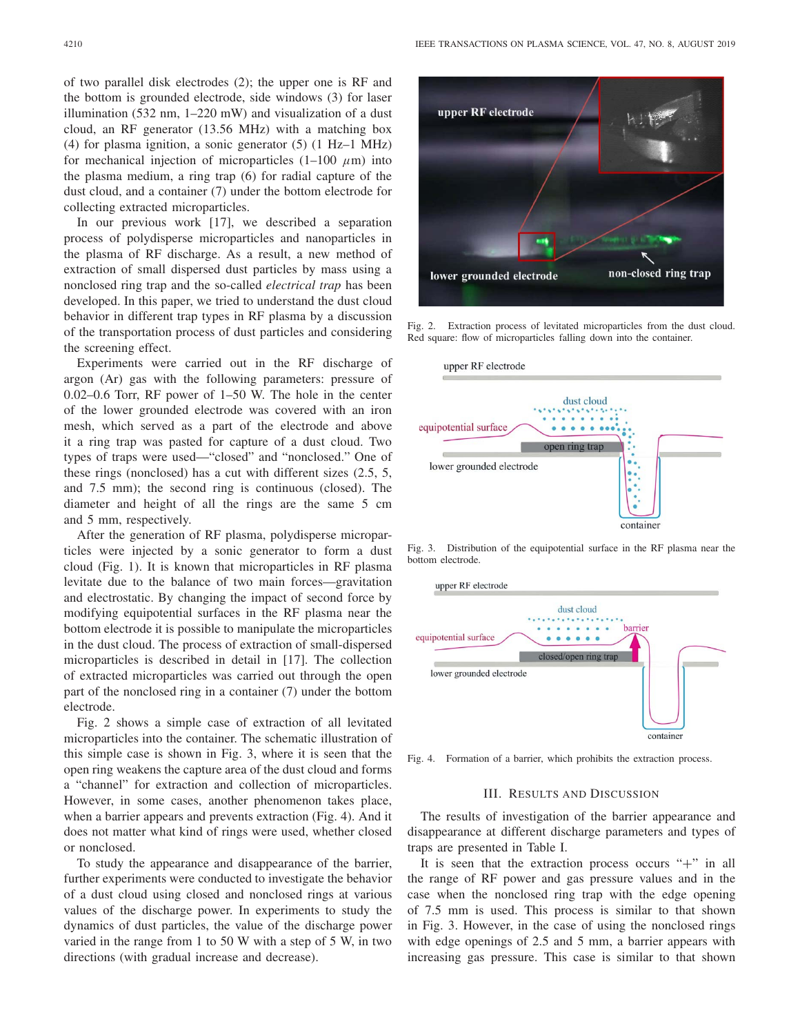of two parallel disk electrodes (2); the upper one is RF and the bottom is grounded electrode, side windows (3) for laser illumination (532 nm, 1–220 mW) and visualization of a dust cloud, an RF generator (13.56 MHz) with a matching box (4) for plasma ignition, a sonic generator (5) (1 Hz–1 MHz) for mechanical injection of microparticles  $(1-100 \mu m)$  into the plasma medium, a ring trap (6) for radial capture of the dust cloud, and a container (7) under the bottom electrode for collecting extracted microparticles.

In our previous work [17], we described a separation process of polydisperse microparticles and nanoparticles in the plasma of RF discharge. As a result, a new method of extraction of small dispersed dust particles by mass using a nonclosed ring trap and the so-called *electrical trap* has been developed. In this paper, we tried to understand the dust cloud behavior in different trap types in RF plasma by a discussion of the transportation process of dust particles and considering the screening effect.

Experiments were carried out in the RF discharge of argon (Ar) gas with the following parameters: pressure of 0.02–0.6 Torr, RF power of 1–50 W. The hole in the center of the lower grounded electrode was covered with an iron mesh, which served as a part of the electrode and above it a ring trap was pasted for capture of a dust cloud. Two types of traps were used—"closed" and "nonclosed." One of these rings (nonclosed) has a cut with different sizes (2.5, 5, and 7.5 mm); the second ring is continuous (closed). The diameter and height of all the rings are the same 5 cm and 5 mm, respectively.

After the generation of RF plasma, polydisperse microparticles were injected by a sonic generator to form a dust cloud (Fig. 1). It is known that microparticles in RF plasma levitate due to the balance of two main forces—gravitation and electrostatic. By changing the impact of second force by modifying equipotential surfaces in the RF plasma near the bottom electrode it is possible to manipulate the microparticles in the dust cloud. The process of extraction of small-dispersed microparticles is described in detail in [17]. The collection of extracted microparticles was carried out through the open part of the nonclosed ring in a container (7) under the bottom electrode.

Fig. 2 shows a simple case of extraction of all levitated microparticles into the container. The schematic illustration of this simple case is shown in Fig. 3, where it is seen that the open ring weakens the capture area of the dust cloud and forms a "channel" for extraction and collection of microparticles. However, in some cases, another phenomenon takes place, when a barrier appears and prevents extraction (Fig. 4). And it does not matter what kind of rings were used, whether closed or nonclosed.

To study the appearance and disappearance of the barrier, further experiments were conducted to investigate the behavior of a dust cloud using closed and nonclosed rings at various values of the discharge power. In experiments to study the dynamics of dust particles, the value of the discharge power varied in the range from 1 to 50 W with a step of 5 W, in two directions (with gradual increase and decrease).



Fig. 2. Extraction process of levitated microparticles from the dust cloud. Red square: flow of microparticles falling down into the container.



Fig. 3. Distribution of the equipotential surface in the RF plasma near the bottom electrode.



Fig. 4. Formation of a barrier, which prohibits the extraction process.

#### III. RESULTS AND DISCUSSION

The results of investigation of the barrier appearance and disappearance at different discharge parameters and types of traps are presented in Table I.

It is seen that the extraction process occurs "+" in all the range of RF power and gas pressure values and in the case when the nonclosed ring trap with the edge opening of 7.5 mm is used. This process is similar to that shown in Fig. 3. However, in the case of using the nonclosed rings with edge openings of 2.5 and 5 mm, a barrier appears with increasing gas pressure. This case is similar to that shown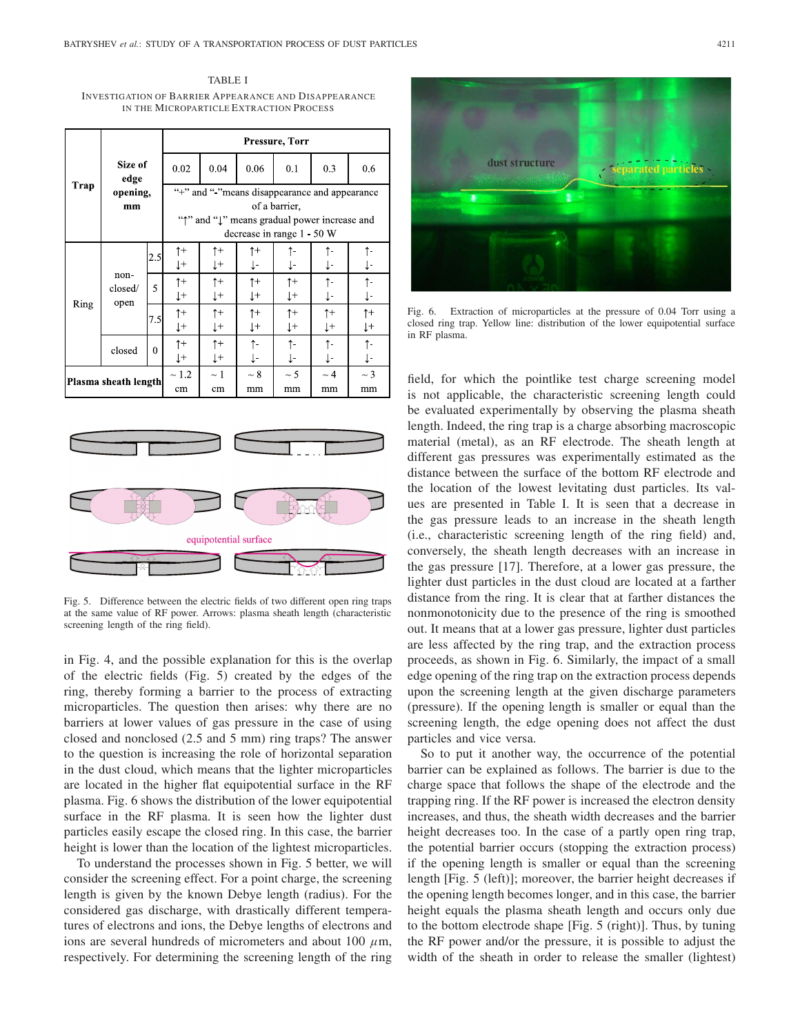TABLE I INVESTIGATION OF BARRIER APPEARANCE AND DISAPPEARANCE IN THE MICROPARTICLE EXTRACTION PROCESS

|                      | Size of<br>edge<br>opening,<br>mm |              | Pressure, Torr                                                                                                                               |                                 |                              |                  |                              |                  |
|----------------------|-----------------------------------|--------------|----------------------------------------------------------------------------------------------------------------------------------------------|---------------------------------|------------------------------|------------------|------------------------------|------------------|
|                      |                                   |              | 0.02                                                                                                                                         | 0.04                            | 0.06                         | 0.1              | 0.3                          | 0.6              |
| Trap                 |                                   |              | "+" and "-"means disappearance and appearance<br>of a barrier,<br>"1" and "1" means gradual power increase and<br>decrease in range 1 - 50 W |                                 |                              |                  |                              |                  |
| Ring                 | non-<br>closed/<br>open           | 2.5          | $\uparrow$<br>Į+                                                                                                                             | $\uparrow$<br>$\downarrow$ +    | $\uparrow$ +<br>Ţ-           | ↑-<br>Ţ-         | ↑−<br>Ţ-                     | ↑−<br>Ţ-         |
|                      |                                   | 5            | $\uparrow$<br>$^{\downarrow +}$                                                                                                              | $\uparrow$<br>$\downarrow$ +    | $\uparrow$<br>$\downarrow$ + | $\uparrow$<br>Ţ+ | $\uparrow$<br>J-             | ↑-<br>J-         |
|                      |                                   | 7.5          | $\uparrow$<br>$\downarrow$ +                                                                                                                 | $\uparrow$<br>$\downarrow$ +    | $\uparrow$<br>$\downarrow$   | $\uparrow$<br>Ţ+ | $\uparrow$<br>$\downarrow$ + | $\uparrow$<br>ţ+ |
|                      | closed                            | $\mathbf{0}$ | $\uparrow$<br>$\downarrow$ +                                                                                                                 | $\uparrow$<br>$^{\downarrow +}$ | ↑–<br>Ţ-                     | ↑-<br>Ţ-         | ↑-<br>ţ-                     | ↑−<br>↓−         |
| Plasma sheath length |                                   |              | $\sim 1.2$<br>cm                                                                                                                             | $\sim$ 1<br>cm                  | $\sim$ 8<br>mm               | $\sim$ 5<br>mm   | $\sim$ 4<br>mm               | $\sim$ 3<br>mm   |
|                      |                                   |              |                                                                                                                                              |                                 |                              |                  |                              |                  |
|                      |                                   |              |                                                                                                                                              |                                 |                              |                  |                              |                  |



Fig. 5. Difference between the electric fields of two different open ring traps at the same value of RF power. Arrows: plasma sheath length (characteristic screening length of the ring field).

in Fig. 4, and the possible explanation for this is the overlap of the electric fields (Fig. 5) created by the edges of the ring, thereby forming a barrier to the process of extracting microparticles. The question then arises: why there are no barriers at lower values of gas pressure in the case of using closed and nonclosed (2.5 and 5 mm) ring traps? The answer to the question is increasing the role of horizontal separation in the dust cloud, which means that the lighter microparticles are located in the higher flat equipotential surface in the RF plasma. Fig. 6 shows the distribution of the lower equipotential surface in the RF plasma. It is seen how the lighter dust particles easily escape the closed ring. In this case, the barrier height is lower than the location of the lightest microparticles.

To understand the processes shown in Fig. 5 better, we will consider the screening effect. For a point charge, the screening length is given by the known Debye length (radius). For the considered gas discharge, with drastically different temperatures of electrons and ions, the Debye lengths of electrons and ions are several hundreds of micrometers and about 100  $\mu$ m, respectively. For determining the screening length of the ring



Fig. 6. Extraction of microparticles at the pressure of 0.04 Torr using a closed ring trap. Yellow line: distribution of the lower equipotential surface in RF plasma.

field, for which the pointlike test charge screening model is not applicable, the characteristic screening length could be evaluated experimentally by observing the plasma sheath length. Indeed, the ring trap is a charge absorbing macroscopic material (metal), as an RF electrode. The sheath length at different gas pressures was experimentally estimated as the distance between the surface of the bottom RF electrode and the location of the lowest levitating dust particles. Its values are presented in Table I. It is seen that a decrease in the gas pressure leads to an increase in the sheath length (i.e., characteristic screening length of the ring field) and, conversely, the sheath length decreases with an increase in the gas pressure [17]. Therefore, at a lower gas pressure, the lighter dust particles in the dust cloud are located at a farther distance from the ring. It is clear that at farther distances the nonmonotonicity due to the presence of the ring is smoothed out. It means that at a lower gas pressure, lighter dust particles are less affected by the ring trap, and the extraction process proceeds, as shown in Fig. 6. Similarly, the impact of a small edge opening of the ring trap on the extraction process depends upon the screening length at the given discharge parameters (pressure). If the opening length is smaller or equal than the screening length, the edge opening does not affect the dust particles and vice versa.

So to put it another way, the occurrence of the potential barrier can be explained as follows. The barrier is due to the charge space that follows the shape of the electrode and the trapping ring. If the RF power is increased the electron density increases, and thus, the sheath width decreases and the barrier height decreases too. In the case of a partly open ring trap, the potential barrier occurs (stopping the extraction process) if the opening length is smaller or equal than the screening length [Fig. 5 (left)]; moreover, the barrier height decreases if the opening length becomes longer, and in this case, the barrier height equals the plasma sheath length and occurs only due to the bottom electrode shape [Fig. 5 (right)]. Thus, by tuning the RF power and/or the pressure, it is possible to adjust the width of the sheath in order to release the smaller (lightest)